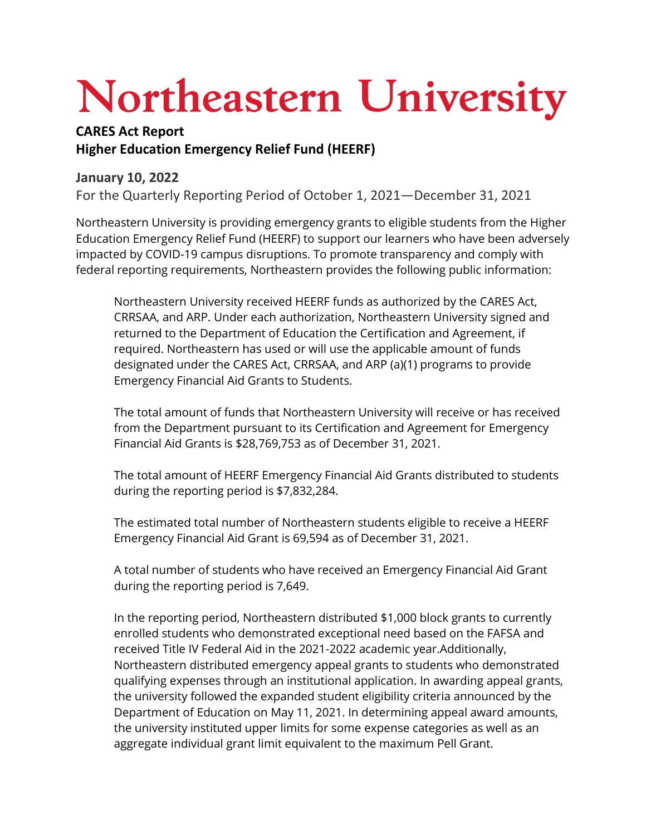## Northeastern University

## **CARES Act Report Higher Education Emergency Relief Fund (HEERF)**

## **January 10, 2022**

For the Quarterly Reporting Period of October 1, 2021—December 31, 2021

Northeastern University is providing emergency grants to eligible students from the Higher Education Emergency Relief Fund (HEERF) to support our learners who have been adversely impacted by COVID-19 campus disruptions. To promote transparency and comply with federal reporting requirements, Northeastern provides the following public information:

Northeastern University received HEERF funds as authorized by the CARES Act, CRRSAA, and ARP. Under each authorization, Northeastern University signed and returned to the Department of Education the Certification and Agreement, if required. Northeastern has used or will use the applicable amount of funds designated under the CARES Act, CRRSAA, and ARP (a)(1) programs to provide Emergency Financial Aid Grants to Students.

The total amount of funds that Northeastern University will receive or has received from the Department pursuant to its Certification and Agreement for Emergency Financial Aid Grants is \$28,769,753 as of December 31, 2021.

The total amount of HEERF Emergency Financial Aid Grants distributed to students during the reporting period is \$7,832,284.

The estimated total number of Northeastern students eligible to receive a HEERF Emergency Financial Aid Grant is 69,594 as of December 31, 2021.

A total number of students who have received an Emergency Financial Aid Grant during the reporting period is 7,649.

In the reporting period, Northeastern distributed \$1,000 block grants to currently enrolled students who demonstrated exceptional need based on the FAFSA and received Title IV Federal Aid in the 2021-2022 academic year.Additionally, Northeastern distributed emergency appeal grants to students who demonstrated qualifying expenses through an institutional application. In awarding appeal grants, the university followed the expanded student eligibility criteria announced by the Department of Education on May 11, 2021. In determining appeal award amounts, the university instituted upper limits for some expense categories as well as an aggregate individual grant limit equivalent to the maximum Pell Grant.